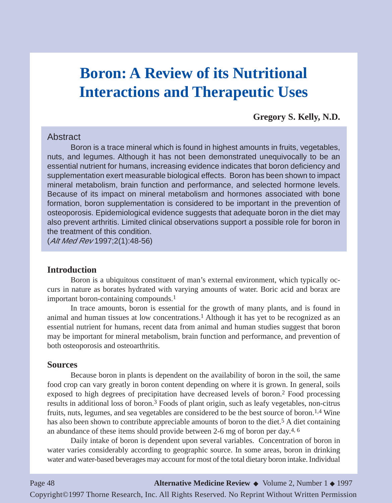# **Boron: A Review of its Nutritional Interactions and Therapeutic Uses**

**Gregory S. Kelly, N.D.**

#### **Abstract**

Boron is a trace mineral which is found in highest amounts in fruits, vegetables, nuts, and legumes. Although it has not been demonstrated unequivocally to be an essential nutrient for humans, increasing evidence indicates that boron deficiency and supplementation exert measurable biological effects. Boron has been shown to impact mineral metabolism, brain function and performance, and selected hormone levels. Because of its impact on mineral metabolism and hormones associated with bone formation, boron supplementation is considered to be important in the prevention of osteoporosis. Epidemiological evidence suggests that adequate boron in the diet may also prevent arthritis. Limited clinical observations support a possible role for boron in the treatment of this condition.

(Alt Med Rev 1997;2(1):48-56)

#### **Introduction**

Boron is a ubiquitous constituent of man's external environment, which typically occurs in nature as borates hydrated with varying amounts of water. Boric acid and borax are important boron-containing compounds.1

In trace amounts, boron is essential for the growth of many plants, and is found in animal and human tissues at low concentrations.<sup>1</sup> Although it has yet to be recognized as an essential nutrient for humans, recent data from animal and human studies suggest that boron may be important for mineral metabolism, brain function and performance, and prevention of both osteoporosis and osteoarthritis.

#### **Sources**

Because boron in plants is dependent on the availability of boron in the soil, the same food crop can vary greatly in boron content depending on where it is grown. In general, soils exposed to high degrees of precipitation have decreased levels of boron.2 Food processing results in additional loss of boron.<sup>3</sup> Foods of plant origin, such as leafy vegetables, non-citrus fruits, nuts, legumes, and sea vegetables are considered to be the best source of boron.1,4 Wine has also been shown to contribute appreciable amounts of boron to the diet.<sup>5</sup> A diet containing an abundance of these items should provide between 2-6 mg of boron per day.4, 6

Daily intake of boron is dependent upon several variables. Concentration of boron in water varies considerably according to geographic source. In some areas, boron in drinking water and water-based beverages may account for most of the total dietary boron intake. Individual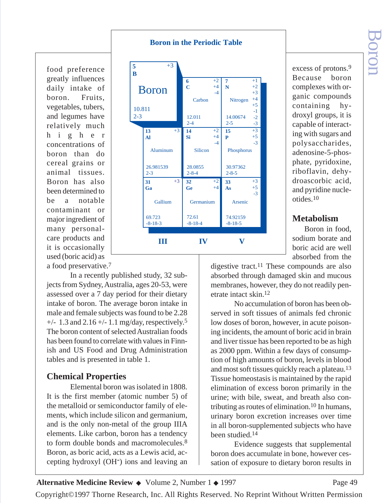**Boron in the Periodic Table**

food preference greatly influences daily intake of boron. Fruits, vegetables, tubers, and legumes have relatively much higher concentrations of boron than do cereal grains or animal tissues. Boron has also been determined to be a notable contaminant or major ingredient of many personalcare products and it is occasionally used (boric acid) as a food preservative.7



excess of protons.9 Because boron complexes with organic compounds containing hydroxyl groups, it is capable of interacting with sugars and polysaccharides, adenosine-5-phosphate, pyridoxine, riboflavin, dehydroascorbic acid, and pyridine nucleotides.10

## **Metabolism**

Boron in food, sodium borate and boric acid are well absorbed from the

In a recently published study, 32 subjects from Sydney, Australia, ages 20-53, were assessed over a 7 day period for their dietary intake of boron. The average boron intake in male and female subjects was found to be 2.28  $+/- 1.3$  and  $2.16 +/- 1.1$  mg/day, respectively.<sup>5</sup> The boron content of selected Australian foods has been found to correlate with values in Finnish and US Food and Drug Administration tables and is presented in table 1.

# **Chemical Properties**

Elemental boron was isolated in 1808. It is the first member (atomic number 5) of the metalloid or semiconductor family of elements, which include silicon and germanium, and is the only non-metal of the group IIIA elements. Like carbon, boron has a tendency to form double bonds and macromolecules.8 Boron, as boric acid, acts as a Lewis acid, accepting hydroxyl (OH-) ions and leaving an

digestive tract.11 These compounds are also absorbed through damaged skin and mucous membranes, however, they do not readily penetrate intact skin.12

No accumulation of boron has been observed in soft tissues of animals fed chronic low doses of boron, however, in acute poisoning incidents, the amount of boric acid in brain and liver tissue has been reported to be as high as 2000 ppm. Within a few days of consumption of high amounts of boron, levels in blood and most soft tissues quickly reach a plateau.13 Tissue homeostasis is maintained by the rapid elimination of excess boron primarily in the urine; with bile, sweat, and breath also contributing as routes of elimination.10 In humans, urinary boron excretion increases over time in all boron-supplemented subjects who have been studied.14

Evidence suggests that supplemental boron does accumulate in bone, however cessation of exposure to dietary boron results in

**Alternative Medicine Review ◆** Volume 2, Number 1 ◆ 1997 Page 49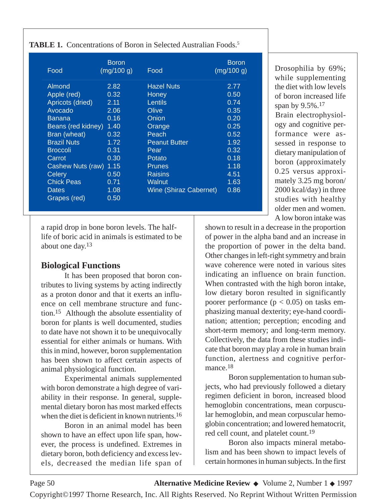|                    | <b>Boron</b> |                               | <b>Boron</b> |
|--------------------|--------------|-------------------------------|--------------|
| Food               | (mg/100 g)   | Food                          | (mg/100 g)   |
| Almond             | 2.82         | <b>Hazel Nuts</b>             | 2.77         |
| Apple (red)        | 0.32         | <b>Honey</b>                  | 0.50         |
| Apricots (dried)   | 2.11         | <b>Lentils</b>                | 0.74         |
| Avocado            | 2.06         | Olive                         | 0.35         |
| <b>Banana</b>      | 0.16         | Onion                         | 0.20         |
| Beans (red kidney) | 1.40         | Orange                        | 0.25         |
| Bran (wheat)       | 0.32         | Peach                         | 0.52         |
| <b>Brazil Nuts</b> | 1.72         | <b>Peanut Butter</b>          | 1.92         |
| <b>Broccoli</b>    | 0.31         | Pear                          | 0.32         |
| Carrot             | 0.30         | Potato                        | 0.18         |
| Cashew Nuts (raw)  | 1.15         | <b>Prunes</b>                 | 1.18         |
| Celery             | 0.50         | <b>Raisins</b>                | 4.51         |
| <b>Chick Peas</b>  | 0.71         | <b>Walnut</b>                 | 1.63         |
| <b>Dates</b>       | 1.08         | <b>Wine (Shiraz Cabernet)</b> | 0.86         |
| Grapes (red)       | 0.50         |                               |              |

**TABLE 1.** Concentrations of Boron in Selected Australian Foods.5

a rapid drop in bone boron levels. The halflife of boric acid in animals is estimated to be about one day.13

#### **Biological Functions**

It has been proposed that boron contributes to living systems by acting indirectly as a proton donor and that it exerts an influence on cell membrane structure and function.15 Although the absolute essentiality of boron for plants is well documented, studies to date have not shown it to be unequivocally essential for either animals or humans. With this in mind, however, boron supplementation has been shown to affect certain aspects of animal physiological function.

Experimental animals supplemented with boron demonstrate a high degree of variability in their response. In general, supplemental dietary boron has most marked effects when the diet is deficient in known nutrients.<sup>16</sup>

Boron in an animal model has been shown to have an effect upon life span, however, the process is undefined. Extremes in dietary boron, both deficiency and excess levels, decreased the median life span of Drosophilia by 69%; while supplementing the diet with low levels of boron increased life span by 9.5%.17 Brain electrophysiology and cognitive performance were assessed in response to dietary manipulation of boron (approximately 0.25 versus approximately 3.25 mg boron/ 2000 kcal/day) in three studies with healthy older men and women. A low boron intake was

shown to result in a decrease in the proportion of power in the alpha band and an increase in the proportion of power in the delta band. Other changes in left-right symmetry and brain wave coherence were noted in various sites indicating an influence on brain function. When contrasted with the high boron intake, low dietary boron resulted in significantly poorer performance  $(p < 0.05)$  on tasks emphasizing manual dexterity; eye-hand coordination; attention; perception; encoding and short-term memory; and long-term memory. Collectively, the data from these studies indicate that boron may play a role in human brain function, alertness and cognitive performance.<sup>18</sup>

Boron supplementation to human subjects, who had previously followed a dietary regimen deficient in boron, increased blood hemoglobin concentrations, mean corpuscular hemoglobin, and mean corpuscular hemoglobin concentration; and lowered hematocrit, red cell count, and platelet count.19

Boron also impacts mineral metabolism and has been shown to impact levels of certain hormones in human subjects. In the first

Page 50 **Alternative Medicine Review** ◆ Volume 2, Number 1 ◆ 1997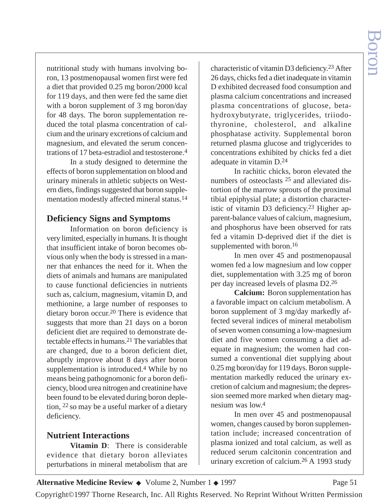nutritional study with humans involving boron, 13 postmenopausal women first were fed a diet that provided 0.25 mg boron/2000 kcal for 119 days, and then were fed the same diet with a boron supplement of 3 mg boron/day for 48 days. The boron supplementation reduced the total plasma concentration of calcium and the urinary excretions of calcium and magnesium, and elevated the serum concentrations of 17 beta-estradiol and testosterone.4

In a study designed to determine the effects of boron supplementation on blood and urinary minerals in athletic subjects on Western diets, findings suggested that boron supplementation modestly affected mineral status.14

#### **Deficiency Signs and Symptoms**

Information on boron deficiency is very limited, especially in humans. It is thought that insufficient intake of boron becomes obvious only when the body is stressed in a manner that enhances the need for it. When the diets of animals and humans are manipulated to cause functional deficiencies in nutrients such as, calcium, magnesium, vitamin D, and methionine, a large number of responses to dietary boron occur.20 There is evidence that suggests that more than 21 days on a boron deficient diet are required to demonstrate detectable effects in humans.21 The variables that are changed, due to a boron deficient diet, abruptly improve about 8 days after boron supplementation is introduced.4 While by no means being pathognomonic for a boron deficiency, blood urea nitrogen and creatinine have been found to be elevated during boron depletion, 22 so may be a useful marker of a dietary deficiency.

## **Nutrient Interactions**

**Vitamin D**: There is considerable evidence that dietary boron alleviates perturbations in mineral metabolism that are

characteristic of vitamin D3 deficiency.23 After 26 days, chicks fed a diet inadequate in vitamin D exhibited decreased food consumption and plasma calcium concentrations and increased plasma concentrations of glucose, betahydroxybutyrate, triglycerides, triiodothyronine, cholesterol, and alkaline phosphatase activity. Supplemental boron returned plasma glucose and triglycerides to concentrations exhibited by chicks fed a diet adequate in vitamin D.24

In rachitic chicks, boron elevated the numbers of osteoclasts 25 and alleviated distortion of the marrow sprouts of the proximal tibial epiphysial plate; a distortion characteristic of vitamin D3 deficiency.23 Higher apparent-balance values of calcium, magnesium, and phosphorus have been observed for rats fed a vitamin D-deprived diet if the diet is supplemented with boron.<sup>16</sup>

In men over 45 and postmenopausal women fed a low magnesium and low copper diet, supplementation with 3.25 mg of boron per day increased levels of plasma D2.26

**Calcium:** Boron supplementation has a favorable impact on calcium metabolism. A boron supplement of 3 mg/day markedly affected several indices of mineral metabolism of seven women consuming a low-magnesium diet and five women consuming a diet adequate in magnesium; the women had consumed a conventional diet supplying about 0.25 mg boron/day for 119 days. Boron supplementation markedly reduced the urinary excretion of calcium and magnesium; the depression seemed more marked when dietary magnesium was low.4

In men over 45 and postmenopausal women, changes caused by boron supplementation include; increased concentration of plasma ionized and total calcium, as well as reduced serum calcitonin concentration and urinary excretion of calcium.26 A 1993 study

Alternative Medicine Review ◆ Volume 2, Number 1 ◆ 1997 Page 51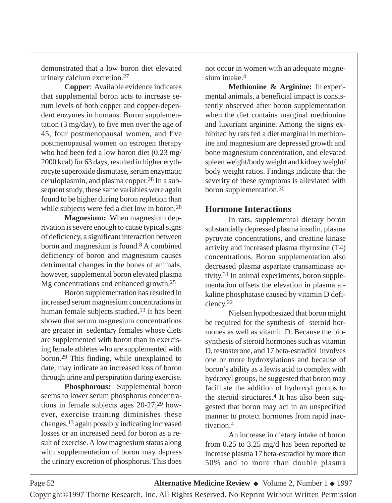demonstrated that a low boron diet elevated urinary calcium excretion.27

**Copper**: Available evidence indicates that supplemental boron acts to increase serum levels of both copper and copper-dependent enzymes in humans. Boron supplementation (3 mg/day), to five men over the age of 45, four postmenopausal women, and five postmenopausal women on estrogen therapy who had been fed a low boron diet (0.23 mg/ 2000 kcal) for 63 days, resulted in higher erythrocyte superoxide dismutase, serum enzymatic ceruloplasmin, and plasma copper.28 In a subsequent study, these same variables were again found to be higher during boron repletion than while subjects were fed a diet low in boron.<sup>28</sup>

**Magnesium:** When magnesium deprivation is severe enough to cause typical signs of deficiency, a significant interaction between boron and magnesium is found.8 A combined deficiency of boron and magnesium causes detrimental changes in the bones of animals, however, supplemental boron elevated plasma Mg concentrations and enhanced growth.25

Boron supplementation has resulted in increased serum magnesium concentrations in human female subjects studied.13 It has been shown that serum magnesium concentrations are greater in sedentary females whose diets are supplemented with boron than in exercising female athletes who are supplemented with boron.29 This finding, while unexplained to date, may indicate an increased loss of boron through urine and perspiration during exercise.

**Phosphorous:** Supplemental boron seems to lower serum phosphorus concentrations in female subjects ages 20-27;29 however, exercise training diminishes these changes,13 again possibly indicating increased losses or an increased need for boron as a result of exercise. A low magnesium status along with supplementation of boron may depress the urinary excretion of phosphorus. This does

not occur in women with an adequate magnesium intake.4

**Methionine & Arginine:** In experimental animals, a beneficial impact is consistently observed after boron supplementation when the diet contains marginal methionine and luxuriant arginine. Among the signs exhibited by rats fed a diet marginal in methionine and magnesium are depressed growth and bone magnesium concentration, and elevated spleen weight/body weight and kidney weight/ body weight ratios. Findings indicate that the severity of these symptoms is alleviated with boron supplementation.30

## **Hormone Interactions**

In rats, supplemental dietary boron substantially depressed plasma insulin, plasma pyruvate concentrations, and creatine kinase activity and increased plasma thyroxine (T4) concentrations. Boron supplementation also decreased plasma aspartate transaminase activity.31 In animal experiments, boron supplementation offsets the elevation in plasma alkaline phosphatase caused by vitamin D deficiency.22

Nielsen hypothesized that boron might be required for the synthesis of steroid hormones as well as vitamin D. Because the biosynthesis of steroid hormones such as vitamin D, testosterone, and 17 beta-estradiol involves one or more hydroxylations and because of boron's ability as a lewis acid to complex with hydroxyl groups, he suggested that boron may facilitate the addition of hydroxyl groups to the steroid structures.<sup>4</sup> It has also been suggested that boron may act in an unspecified manner to protect hormones from rapid inactivation.4

An increase in dietary intake of boron from 0.25 to 3.25 mg/d has been reported to increase plasma 17 beta-estradiol by more than 50% and to more than double plasma

Page 52 **Alternative Medicine Review** ◆ Volume 2, Number 1 ◆ 1997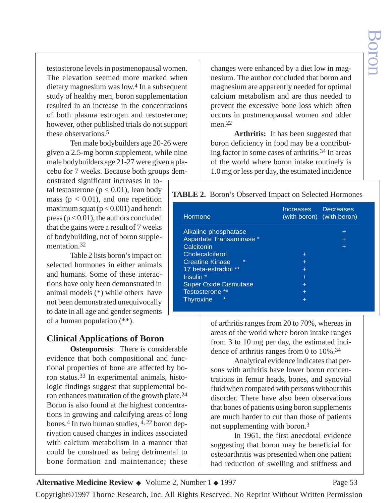testosterone levels in postmenopausal women. The elevation seemed more marked when dietary magnesium was low.4 In a subsequent study of healthy men, boron supplementation resulted in an increase in the concentrations of both plasma estrogen and testosterone; however, other published trials do not support these observations.5

Ten male bodybuilders age 20-26 were given a 2.5-mg boron supplement, while nine male bodybuilders age 21-27 were given a placebo for 7 weeks. Because both groups dem-

onstrated significant increases in total testosterone ( $p < 0.01$ ), lean body mass ( $p < 0.01$ ), and one repetition maximum squat ( $p < 0.001$ ) and bench press ( $p < 0.01$ ), the authors concluded that the gains were a result of 7 weeks of bodybuilding, not of boron supplementation.32

Table 2 lists boron's impact on selected hormones in either animals and humans. Some of these interactions have only been demonstrated in animal models (\*) while others have not been demonstrated unequivocally to date in all age and gender segments of a human population (\*\*).

## **Clinical Applications of Boron**

**Osteoporosis**: There is considerable evidence that both compositional and functional properties of bone are affected by boron status.33 In experimental animals, histologic findings suggest that supplemental boron enhances maturation of the growth plate.24 Boron is also found at the highest concentrations in growing and calcifying areas of long bones.4 In two human studies, 4, 22 boron deprivation caused changes in indices associated with calcium metabolism in a manner that could be construed as being detrimental to bone formation and maintenance; these

changes were enhanced by a diet low in magnesium. The author concluded that boron and magnesium are apparently needed for optimal calcium metabolism and are thus needed to prevent the excessive bone loss which often occurs in postmenopausal women and older men<sup>22</sup>

**Arthritis:** It has been suggested that boron deficiency in food may be a contributing factor in some cases of arthritis.34 In areas of the world where boron intake routinely is 1.0 mg or less per day, the estimated incidence

| <b>TABLE 2.</b> Boron's Observed Impact on Selected Hormones |
|--------------------------------------------------------------|
|--------------------------------------------------------------|

| Hormone                           | <b>Increases</b> | <b>Decreases</b><br>(with boron) (with boron) |
|-----------------------------------|------------------|-----------------------------------------------|
| Alkaline phosphatase              |                  | ÷                                             |
| Aspartate Transaminase *          |                  | ÷                                             |
| Calcitonin                        |                  |                                               |
| Cholecalciferol                   | ÷                |                                               |
| $\star$<br><b>Creatine Kinase</b> | ÷                |                                               |
| 17 beta-estradiol **              | ÷                |                                               |
| Insulin *                         | ÷                |                                               |
| <b>Super Oxide Dismutase</b>      | $\pm$            |                                               |
| Testosterone **                   | ÷                |                                               |
| $\star$<br><b>Thyroxine</b>       |                  |                                               |

of arthritis ranges from 20 to 70%, whereas in areas of the world where boron intake ranges from 3 to 10 mg per day, the estimated incidence of arthritis ranges from 0 to 10%.34

Analytical evidence indicates that persons with arthritis have lower boron concentrations in femur heads, bones, and synovial fluid when compared with persons without this disorder. There have also been observations that bones of patients using boron supplements are much harder to cut than those of patients not supplementing with boron.3

In 1961, the first anecdotal evidence suggesting that boron may be beneficial for osteoarthritis was presented when one patient had reduction of swelling and stiffness and

Alternative Medicine Review ◆ Volume 2, Number 1 ◆ 1997 Page 53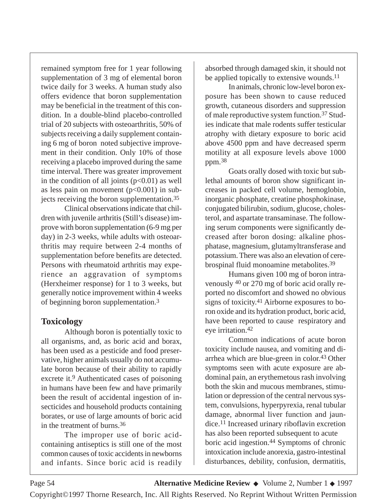remained symptom free for 1 year following supplementation of 3 mg of elemental boron twice daily for 3 weeks. A human study also offers evidence that boron supplementation may be beneficial in the treatment of this condition. In a double-blind placebo-controlled trial of 20 subjects with osteoarthritis, 50% of subjects receiving a daily supplement containing 6 mg of boron noted subjective improvement in their condition. Only 10% of those receiving a placebo improved during the same time interval. There was greater improvement in the condition of all joints  $(p<0.01)$  as well as less pain on movement  $(p<0.001)$  in subjects receiving the boron supplementation.35

Clinical observations indicate that children with juvenile arthritis (Still's disease) improve with boron supplementation (6-9 mg per day) in 2-3 weeks, while adults with osteoarthritis may require between 2-4 months of supplementation before benefits are detected. Persons with rheumatoid arthritis may experience an aggravation of symptoms (Herxheimer response) for 1 to 3 weeks, but generally notice improvement within 4 weeks of beginning boron supplementation.3

## **Toxicology**

Although boron is potentially toxic to all organisms, and, as boric acid and borax, has been used as a pesticide and food preservative, higher animals usually do not accumulate boron because of their ability to rapidly excrete it.9 Authenticated cases of poisoning in humans have been few and have primarily been the result of accidental ingestion of insecticides and household products containing borates, or use of large amounts of boric acid in the treatment of burns.36

The improper use of boric acidcontaining antiseptics is still one of the most common causes of toxic accidents in newborns and infants. Since boric acid is readily absorbed through damaged skin, it should not be applied topically to extensive wounds.<sup>11</sup>

In animals, chronic low-level boron exposure has been shown to cause reduced growth, cutaneous disorders and suppression of male reproductive system function.37 Studies indicate that male rodents suffer testicular atrophy with dietary exposure to boric acid above 4500 ppm and have decreased sperm motility at all exposure levels above 1000 ppm.38

Goats orally dosed with toxic but sublethal amounts of boron show significant increases in packed cell volume, hemoglobin, inorganic phosphate, creatine phosphokinase, conjugated bilirubin, sodium, glucose, cholesterol, and aspartate transaminase. The following serum components were significantly decreased after boron dosing: alkaline phosphatase, magnesium, glutamyltransferase and potassium. There was also an elevation of cerebrospinal fluid monoamine metabolites.39

Humans given 100 mg of boron intravenously 40 or 270 mg of boric acid orally reported no discomfort and showed no obvious signs of toxicity.41 Airborne exposures to boron oxide and its hydration product, boric acid, have been reported to cause respiratory and eye irritation.42

Common indications of acute boron toxicity include nausea, and vomiting and diarrhea which are blue-green in color.43 Other symptoms seen with acute exposure are abdominal pain, an erythemetous rash involving both the skin and mucous membranes, stimulation or depression of the central nervous system, convulsions, hyperpyrexia, renal tubular damage, abnormal liver function and jaundice.11 Increased urinary riboflavin excretion has also been reported subsequent to acute boric acid ingestion.44 Symptoms of chronic intoxication include anorexia, gastro-intestinal disturbances, debility, confusion, dermatitis,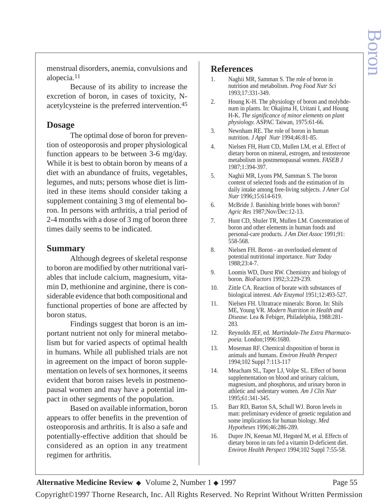menstrual disorders, anemia, convulsions and alopecia.11

Because of its ability to increase the excretion of boron, in cases of toxicity, Nacetylcysteine is the preferred intervention.45

#### **Dosage**

The optimal dose of boron for prevention of osteoporosis and proper physiological function appears to be between 3-6 mg/day. While it is best to obtain boron by means of a diet with an abundance of fruits, vegetables, legumes, and nuts; persons whose diet is limited in these items should consider taking a supplement containing 3 mg of elemental boron. In persons with arthritis, a trial period of 2-4 months with a dose of 3 mg of boron three times daily seems to be indicated.

#### **Summary**

Although degrees of skeletal response to boron are modified by other nutritional variables that include calcium, magnesium, vitamin D, methionine and arginine, there is considerable evidence that both compositional and functional properties of bone are affected by boron status.

Findings suggest that boron is an important nutrient not only for mineral metabolism but for varied aspects of optimal health in humans. While all published trials are not in agreement on the impact of boron supplementation on levels of sex hormones, it seems evident that boron raises levels in postmenopausal women and may have a potential impact in other segments of the population.

Based on available information, boron appears to offer benefits in the prevention of osteoporosis and arthritis. It is also a safe and potentially-effective addition that should be considered as an option in any treatment regimen for arthritis.

#### **References**

- 1. Naghii MR, Samman S. The role of boron in nutrition and metabolism. *Prog Food Nutr Sci* 1993;17:331-349.
- 2. Houng K-H. The physiology of boron and molybdenum in plants. In: Okajima H, Uritani I, and Houng H-K. *The significance of minor elements on plant physiology.* ASPAC Taiwan, 1975:61-66.
- 3. Newnham RE. The role of boron in human nutrition. *J Appl Nutr* 1994;46:81-85.
- 4. Nielsen FH, Hunt CD, Mullen LM, et al. Effect of dietary boron on mineral, estrogen, and testosterone metabolism in postmenopausal women. *FASEB J* 1987;1:394-397.
- 5. Naghii MR, Lyons PM, Samman S. The boron content of selected foods and the estimation of its daily intake among free-living subjects. *J Amer Col Nutr* 1996;15:614-619.
- 6. McBride J. Banishing brittle bones with boron? *Agric Res* 1987;Nov/Dec:12-13.
- 7. Hunt CD, Shuler TR, Mullen LM. Concentration of boron and other elements in human foods and personal-care products. *J Am Diet Assoc* 1991;91: 558-568.
- 8. Nielsen FH. Boron an overlooked element of potential nutritional importance. *Nutr Today* 1988;23:4-7.
- 9. Loomis WD, Durst RW. Chemistry and biology of boron. *BioFactors* 1992;3:229-239.
- 10. Zittle CA. Reaction of borate with substances of biological interest. *Adv Enzymol* 1951;12:493-527.
- 11. Nielsen FH. Ultratrace minerals: Boron. In: Shils ME, Young VR. *Modern Nutrition in Health and Disease.* Lea & Febiger, Philadelphia, 1988:281- 283.
- 12. Reynolds JEF, ed. *Martindale-The Extra Pharmacopoeia.* London;1996:1680.
- 13. Moseman RF. Chemical disposition of boron in animals and humans. *Environ Health Perspect* 1994;102 Suppl 7:113-117
- 14. Meacham SL, Taper LJ, Volpe SL. Effect of boron supplementation on blood and urinary calcium, magnesium, and phosphorus, and urinary boron in athletic and sedentary women. *Am J Clin Nutr* 1995;61:341-345.
- 15. Barr RD, Barton SA, Schull WJ. Boron levels in man: preliminary evidence of genetic regulation and some implications for human biology. *Med Hypotheses* 1996;46:286-289.
- 16. Dupre JN, Keenan MJ, Hegsted M, et al. Effects of dietary boron in rats fed a vitamin D-deficient diet. *Environ Health Perspect* 1994;102 Suppl 7:55-58.

Alternative Medicine Review ◆ Volume 2, Number 1 ◆ 1997 Page 55